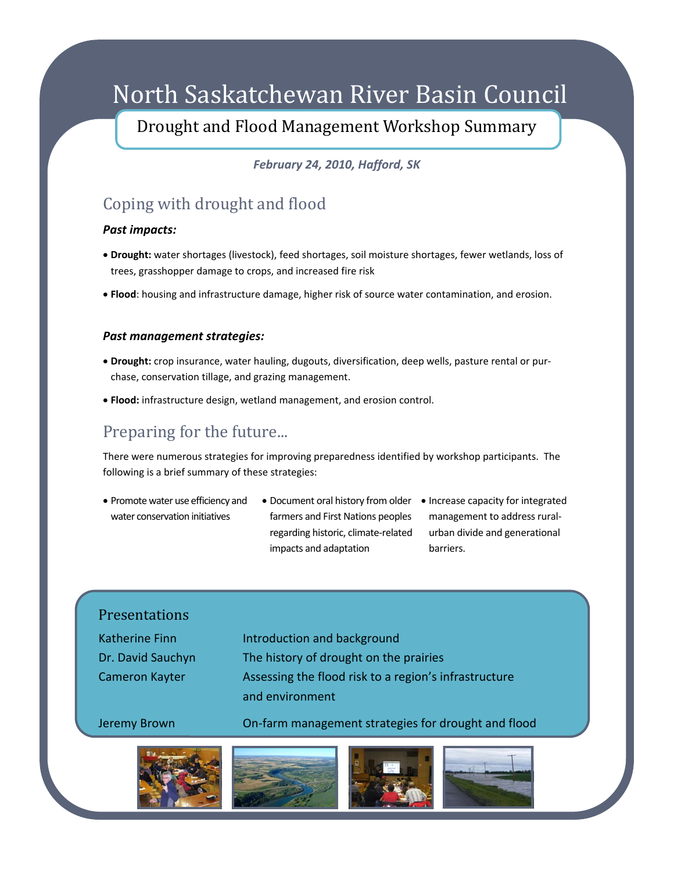# North Saskatchewan River Basin Council

Drought and Flood Management Workshop Summary

*February 24, 2010, Hafford, SK*

## Coping with drought and flood

#### *Past impacts:*

- **Drought:** water shortages (livestock), feed shortages, soil moisture shortages, fewer wetlands, loss of trees, grasshopper damage to crops, and increased fire risk
- **Flood**: housing and infrastructure damage, higher risk of source water contamination, and erosion.

#### *Past management strategies:*

- **Drought:** crop insurance, water hauling, dugouts, diversification, deep wells, pasture rental or pur‐ chase, conservation tillage, and grazing management.
- **Flood:** infrastructure design, wetland management, and erosion control.

## Preparing for the future...

There were numerous strategies for improving preparedness identified by workshop participants. The following is a brief summary of these strategies:

- Promote water use efficiency and water conservation initiatives
- Document oral history from older Increase capacity for integrated farmers and First Nations peoples regarding historic, climate‐related impacts and adaptation
- management to address rural‐ urban divide and generational barriers.

| <b>Presentations</b>                                         |                                                                                                                                                   |
|--------------------------------------------------------------|---------------------------------------------------------------------------------------------------------------------------------------------------|
| <b>Katherine Finn</b><br>Dr. David Sauchyn<br>Cameron Kayter | Introduction and background<br>The history of drought on the prairies<br>Assessing the flood risk to a region's infrastructure<br>and environment |
| Jeremy Brown                                                 | On-farm management strategies for drought and flood                                                                                               |
|                                                              |                                                                                                                                                   |